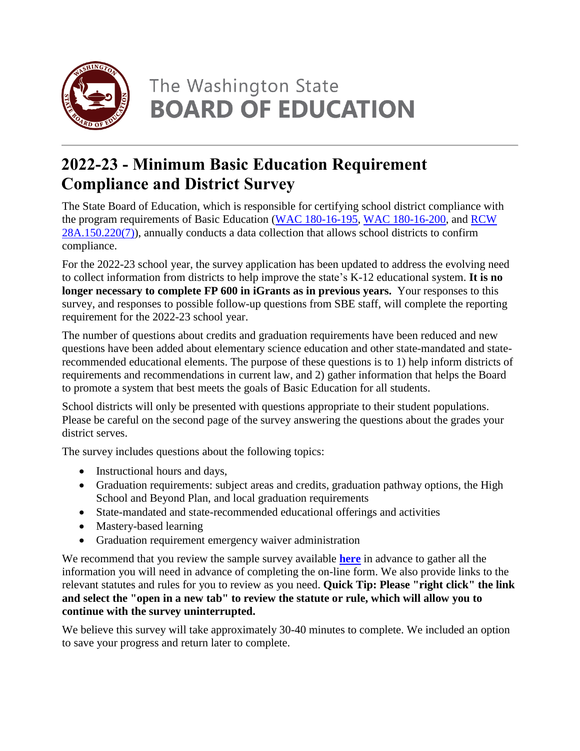

# The Washington State **BOARD OF EDUCATION**

# **2022-23 - Minimum Basic Education Requirement Compliance and District Survey**

The State Board of Education, which is responsible for certifying school district compliance with the program requirements of Basic Education (WAC [180-16-195,](https://apps.leg.wa.gov/WAC/default.aspx?cite=180-16-195) WAC [180-16-200,](https://apps.leg.wa.gov/wac/default.aspx?cite=180-16-200) and [RCW](https://apps.leg.wa.gov/RCW/default.aspx?cite=28A.150.220) [28A.150.220\(7\)\)](https://apps.leg.wa.gov/RCW/default.aspx?cite=28A.150.220), annually conducts a data collection that allows school districts to confirm compliance.

For the 2022-23 school year, the survey application has been updated to address the evolving need to collect information from districts to help improve the state's K-12 educational system. **It is no longer necessary to complete FP 600 in iGrants as in previous years.** Your responses to this survey, and responses to possible follow-up questions from SBE staff, will complete the reporting requirement for the 2022-23 school year.

The number of questions about credits and graduation requirements have been reduced and new questions have been added about elementary science education and other state-mandated and staterecommended educational elements. The purpose of these questions is to 1) help inform districts of requirements and recommendations in current law, and 2) gather information that helps the Board to promote a system that best meets the goals of Basic Education for all students.

School districts will only be presented with questions appropriate to their student populations. Please be careful on the second page of the survey answering the questions about the grades your district serves.

The survey includes questions about the following topics:

- Instructional hours and days,
- Graduation requirements: subject areas and credits, graduation pathway options, the High School and Beyond Plan, and local graduation requirements
- State-mandated and state-recommended educational offerings and activities
- Mastery-based learning
- Graduation requirement emergency waiver administration

We recommend that you review the sample survey available **[here](https://www.sbe.wa.gov/sites/default/files/public/documents/2022-23%20Basic%20Education%20Collection%20Prompts_051622.pdf)** in advance to gather all the information you will need in advance of completing the on-line form. We also provide links to the relevant statutes and rules for you to review as you need. **Quick Tip: Please "right click" the link and select the "open in a new tab" to review the statute or rule, which will allow you to continue with the survey uninterrupted.**

We believe this survey will take approximately 30-40 minutes to complete. We included an option to save your progress and return later to complete.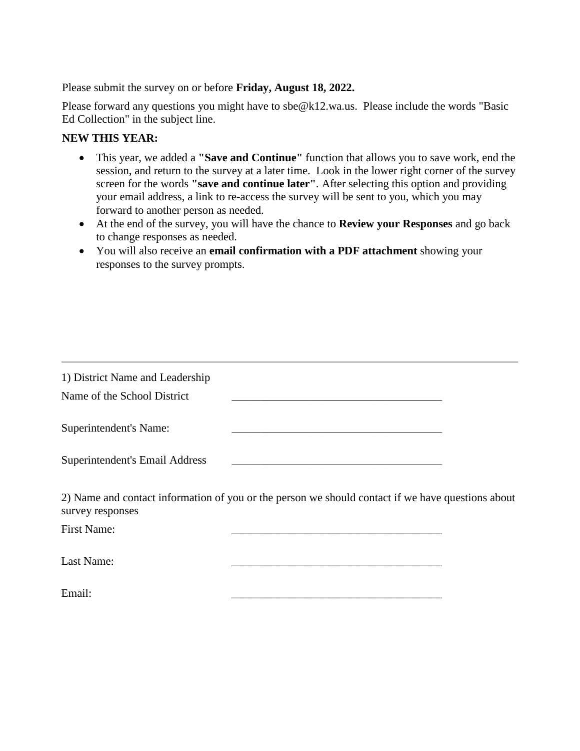Please submit the survey on or before **Friday, August 18, 2022.**

Please forward any questions you might have to sbe@k12.wa.us. Please include the words "Basic Ed Collection" in the subject line.

#### **NEW THIS YEAR:**

- This year, we added a **"Save and Continue"** function that allows you to save work, end the session, and return to the survey at a later time. Look in the lower right corner of the survey screen for the words **"save and continue later"***.* After selecting this option and providing your email address, a link to re-access the survey will be sent to you, which you may forward to another person as needed.
- At the end of the survey, you will have the chance to **Review your Responses** and go back to change responses as needed.
- You will also receive an **email confirmation with a PDF attachment** showing your responses to the survey prompts.

| 1) District Name and Leadership<br>Name of the School District |                                                                                                   |  |
|----------------------------------------------------------------|---------------------------------------------------------------------------------------------------|--|
| Superintendent's Name:                                         |                                                                                                   |  |
| Superintendent's Email Address                                 |                                                                                                   |  |
| survey responses                                               | 2) Name and contact information of you or the person we should contact if we have questions about |  |
| <b>First Name:</b>                                             |                                                                                                   |  |
| Last Name:                                                     |                                                                                                   |  |
| Email:                                                         |                                                                                                   |  |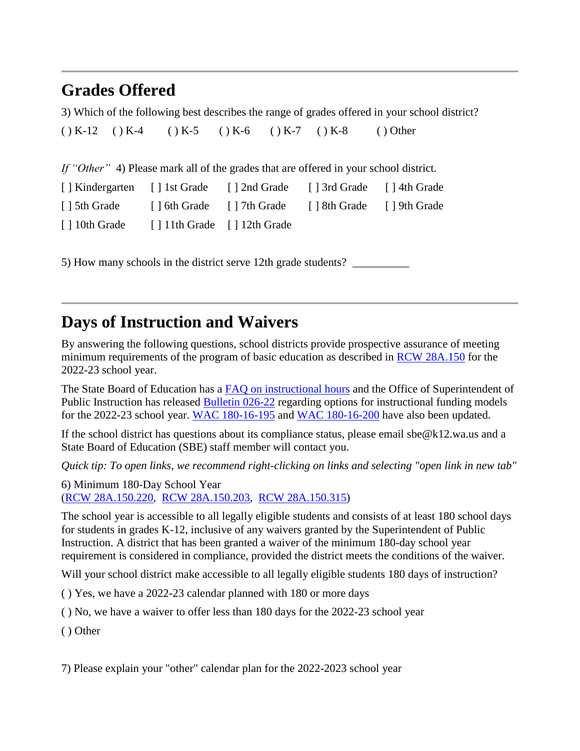### **Grades Offered**

3) Which of the following best describes the range of grades offered in your school district?

 $(X - 12)$   $(X - 4)$   $(X - 5)$   $(X - 6)$   $(X - 7)$   $(X - 8)$  ( ) Other

*If "Other"* 4) Please mark all of the grades that are offered in your school district.

| [ ] Kindergarten [ ] 1st Grade [ ] 2nd Grade [ ] 3rd Grade [ ] 4th Grade |  |  |
|--------------------------------------------------------------------------|--|--|
| [] 5th Grade [] 6th Grade [] 7th Grade [] 8th Grade [] 9th Grade         |  |  |
| [] 10th Grade [] 11th Grade [] 12th Grade                                |  |  |

5) How many schools in the district serve 12th grade students?

#### **Days of Instruction and Waivers**

By answering the following questions, school districts provide prospective assurance of meeting minimum requirements of the program of basic education as described in RCW [28A.150](https://app.leg.wa.gov/rcw/default.aspx?cite=28a.150) for the 2022-23 school year.

The State Board of Education has a FAQ on [instructional](https://www.sbe.wa.gov/faqs/instructional_hours) hours and the Office of Superintendent of Public Instruction has released [Bulletin](https://www.k12.wa.us/sites/default/files/public/bulletinsmemos/bulletins2022/Bulletin_026-22.pdf) 026-22 regarding options for instructional funding models for the 2022-23 school year. WAC [180-16-195](https://app.leg.wa.gov/wac/default.aspx?cite=180-16-195) and WAC [180-16-200](https://app.leg.wa.gov/wac/default.aspx?cite=180-16-200) have also been updated.

If the school district has questions about its compliance status, please email sbe@k12.wa.us and a State Board of Education (SBE) staff member will contact you.

*Quick tip: To open links, we recommend right-clicking on links and selecting "open link in new tab"*

6) Minimum 180-Day School Year (RCW [28A.150.220,](http://app.leg.wa.gov/RCW/default.aspx?cite=28A.150.220) RCW [28A.150.203,](http://app.leg.wa.gov/RCW/default.aspx?cite=28A.150.203) RCW [28A.150.315\)](http://apps.leg.wa.gov/rcw/default.aspx?cite=28A.150.315)

The school year is accessible to all legally eligible students and consists of at least 180 school days for students in grades K-12, inclusive of any waivers granted by the Superintendent of Public Instruction. A district that has been granted a waiver of the minimum 180-day school year requirement is considered in compliance, provided the district meets the conditions of the waiver.

Will your school district make accessible to all legally eligible students 180 days of instruction?

( ) Yes, we have a 2022-23 calendar planned with 180 or more days

( ) No, we have a waiver to offer less than 180 days for the 2022-23 school year

( ) Other

7) Please explain your "other" calendar plan for the 2022-2023 school year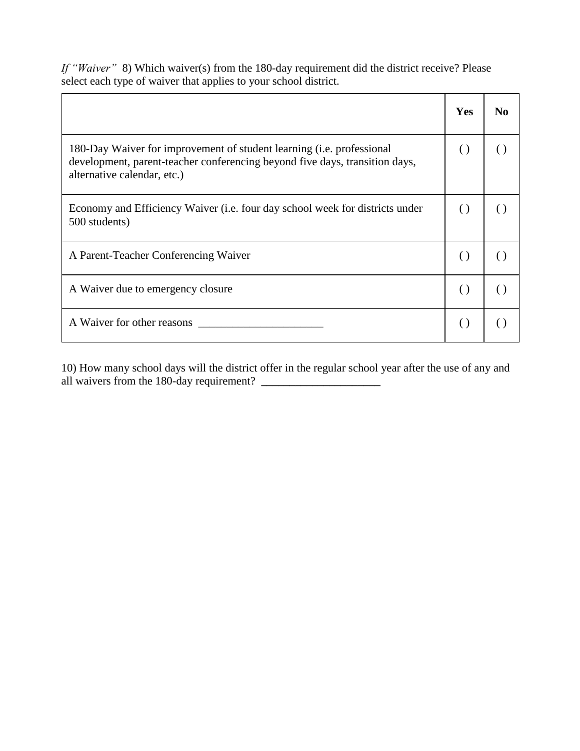|                                                                                                                                                                                     | <b>Yes</b>         | N <sub>0</sub> |
|-------------------------------------------------------------------------------------------------------------------------------------------------------------------------------------|--------------------|----------------|
| 180-Day Waiver for improvement of student learning (i.e. professional<br>development, parent-teacher conferencing beyond five days, transition days,<br>alternative calendar, etc.) | $\left( \right)$   | ( )            |
| Economy and Efficiency Waiver (i.e. four day school week for districts under<br>500 students)                                                                                       | $\left( \right)$   |                |
| A Parent-Teacher Conferencing Waiver                                                                                                                                                | $\left( \right)$   |                |
| A Waiver due to emergency closure                                                                                                                                                   | $\left( \right)$   |                |
| A Waiver for other reasons                                                                                                                                                          | $\left( \ \right)$ |                |

*If "Waiver"* 8) Which waiver(s) from the 180-day requirement did the district receive? Please select each type of waiver that applies to your school district.

10) How many school days will the district offer in the regular school year after the use of any and all waivers from the 180-day requirement? **\_\_\_\_\_\_\_\_\_\_\_\_\_\_\_\_\_\_\_\_\_**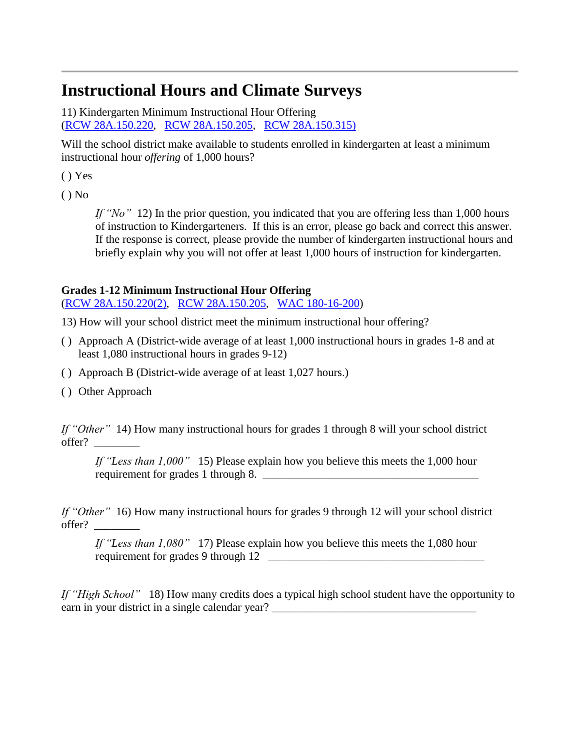# **Instructional Hours and Climate Surveys**

11) Kindergarten Minimum Instructional Hour Offering (RCW [28A.150.220,](http://app.leg.wa.gov/RCW/default.aspx?cite=28A.150.220) RCW [28A.150.205,](http://app.leg.wa.gov/RCW/default.aspx?cite=28A.150.205) RCW [28A.150.315\)](http://apps.leg.wa.gov/rcw/default.aspx?cite=28A.150.315)

Will the school district make available to students enrolled in kindergarten at least a minimum instructional hour *offering* of 1,000 hours?

( ) Yes

 $()$  No

*If "No"* 12) In the prior question, you indicated that you are offering less than 1,000 hours of instruction to Kindergarteners. If this is an error, please go back and correct this answer. If the response is correct, please provide the number of kindergarten instructional hours and briefly explain why you will not offer at least 1,000 hours of instruction for kindergarten.

#### **Grades 1-12 Minimum Instructional Hour Offering**

(RCW [28A.150.220\(2\),](http://app.leg.wa.gov/RCW/default.aspx?cite=28A.150.220) RCW [28A.150.205,](http://app.leg.wa.gov/RCW/default.aspx?cite=28A.150.205) WAC [180-16-200\)](http://app.leg.wa.gov/wac/default.aspx?cite=180-16-200)

- 13) How will your school district meet the minimum instructional hour offering?
- ( ) Approach A (District-wide average of at least 1,000 instructional hours in grades 1-8 and at least 1,080 instructional hours in grades 9-12)
- ( ) Approach B (District-wide average of at least 1,027 hours.)
- ( ) Other Approach

*If "Other"* 14) How many instructional hours for grades 1 through 8 will your school district offer? \_\_\_\_\_\_\_\_

*If "Less than 1,000"* 15) Please explain how you believe this meets the 1,000 hour requirement for grades 1 through 8.

*If "Other"* 16) How many instructional hours for grades 9 through 12 will your school district offer? \_\_\_\_\_\_\_\_

*If "Less than 1,080"* 17) Please explain how you believe this meets the 1,080 hour requirement for grades 9 through 12 \_\_\_\_\_\_\_\_\_\_\_\_\_\_\_\_\_\_\_\_\_\_\_\_\_\_\_\_\_\_\_\_\_\_\_\_\_\_

*If "High School"* 18) How many credits does a typical high school student have the opportunity to earn in your district in a single calendar year?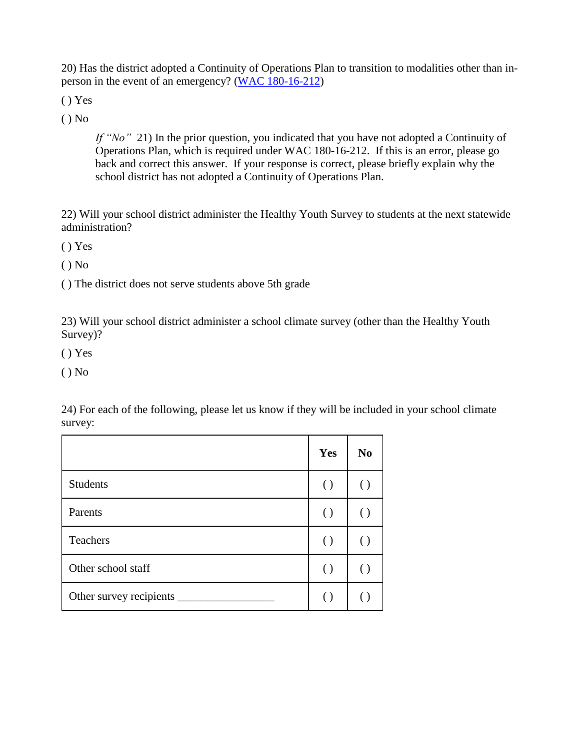20) Has the district adopted a Continuity of Operations Plan to transition to modalities other than inperson in the event of an emergency? (WAC [180-16-212\)](https://apps.leg.wa.gov/wac/default.aspx?cite=180-16-212)

( ) Yes

( ) No

*If "No"*21) In the prior question, you indicated that you have not adopted a Continuity of Operations Plan, which is required under WAC 180-16-212. If this is an error, please go back and correct this answer. If your response is correct, please briefly explain why the school district has not adopted a Continuity of Operations Plan.

22) Will your school district administer the Healthy Youth Survey to students at the next statewide administration?

( ) Yes

( ) No

( ) The district does not serve students above 5th grade

23) Will your school district administer a school climate survey (other than the Healthy Youth Survey)?

( ) Yes

 $()$  No

24) For each of the following, please let us know if they will be included in your school climate survey:

|                               | Yes                | N <sub>0</sub> |
|-------------------------------|--------------------|----------------|
| <b>Students</b>               | $\left( \ \right)$ | (              |
| Parents                       | $\left( \ \right)$ |                |
| Teachers                      | $\left( \ \right)$ | (              |
| Other school staff            | $\left( \ \right)$ | (              |
| Other survey recipients _____ |                    |                |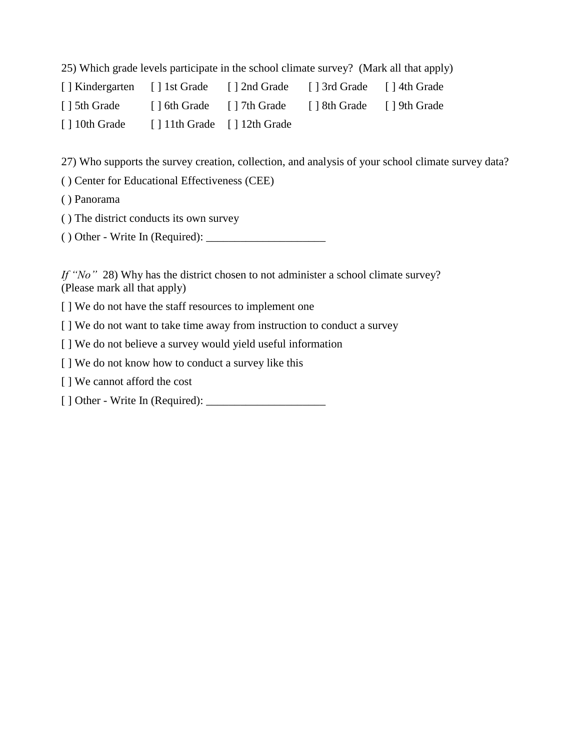25) Which grade levels participate in the school climate survey? (Mark all that apply)

| [] Kindergarten [] 1st Grade |                                         | [] 2nd Grade [] 3rd Grade [] 4th Grade              |  |
|------------------------------|-----------------------------------------|-----------------------------------------------------|--|
| [ ] 5th Grade                |                                         | [] 6th Grade [] 7th Grade [] 8th Grade [] 9th Grade |  |
| [ ] 10th Grade               | $\lceil$ 11th Grade $\lceil$ 12th Grade |                                                     |  |

27) Who supports the survey creation, collection, and analysis of your school climate survey data?

( ) Center for Educational Effectiveness (CEE)

( ) Panorama

( ) The district conducts its own survey

( ) Other - Write In (Required): \_\_\_\_\_\_\_\_\_\_\_\_\_\_\_\_\_\_\_\_\_

*If "No"* 28) Why has the district chosen to not administer a school climate survey? (Please mark all that apply)

[ ] We do not have the staff resources to implement one

[ ] We do not want to take time away from instruction to conduct a survey

[] We do not believe a survey would yield useful information

[ ] We do not know how to conduct a survey like this

[ ] We cannot afford the cost

[ ] Other - Write In (Required): \_\_\_\_\_\_\_\_\_\_\_\_\_\_\_\_\_\_\_\_\_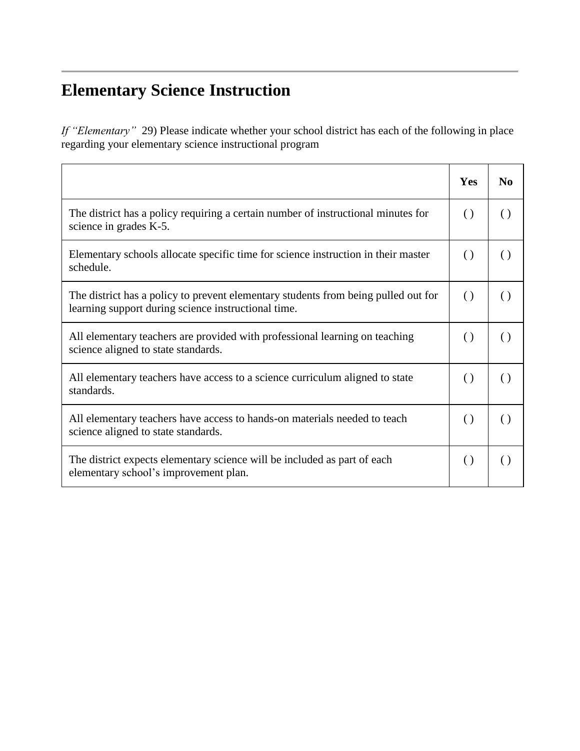# **Elementary Science Instruction**

*If "Elementary"* 29) Please indicate whether your school district has each of the following in place regarding your elementary science instructional program

|                                                                                                                                           | Yes              | N <sub>0</sub>     |
|-------------------------------------------------------------------------------------------------------------------------------------------|------------------|--------------------|
| The district has a policy requiring a certain number of instructional minutes for<br>science in grades K-5.                               | $\left( \right)$ | $\left( \right)$   |
| Elementary schools allocate specific time for science instruction in their master<br>schedule.                                            | $\left( \right)$ | $\left( \right)$   |
| The district has a policy to prevent elementary students from being pulled out for<br>learning support during science instructional time. | $\left( \right)$ | $\left( \ \right)$ |
| All elementary teachers are provided with professional learning on teaching<br>science aligned to state standards.                        | $\left( \right)$ | $\left( \right)$   |
| All elementary teachers have access to a science curriculum aligned to state<br>standards.                                                | $\left( \right)$ | $\left( \ \right)$ |
| All elementary teachers have access to hands-on materials needed to teach<br>science aligned to state standards.                          | $\left( \right)$ | $\left( \ \right)$ |
| The district expects elementary science will be included as part of each<br>elementary school's improvement plan.                         | $\left( \right)$ | ( )                |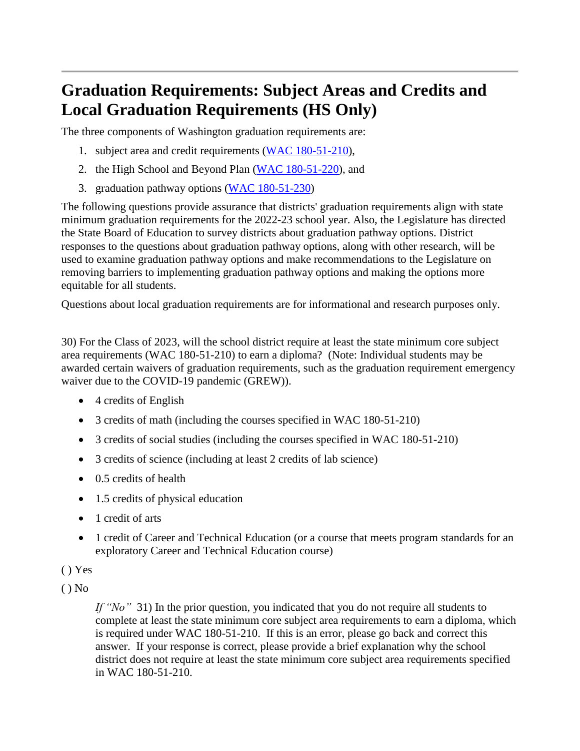# **Graduation Requirements: Subject Areas and Credits and Local Graduation Requirements (HS Only)**

The three components of Washington graduation requirements are:

- 1. subject area and credit requirements (WAC [180-51-210\)](https://apps.leg.wa.gov/wac/default.aspx?cite=180-51-210),
- 2. the High School and Beyond Plan (WAC [180-51-220\)](https://apps.leg.wa.gov/wac/default.aspx?cite=180-51-220), and
- 3. graduation pathway options (WAC [180-51-230\)](https://apps.leg.wa.gov/wac/default.aspx?cite=180-51-230)

The following questions provide assurance that districts' graduation requirements align with state minimum graduation requirements for the 2022-23 school year. Also, the Legislature has directed the State Board of Education to survey districts about graduation pathway options. District responses to the questions about graduation pathway options, along with other research, will be used to examine graduation pathway options and make recommendations to the Legislature on removing barriers to implementing graduation pathway options and making the options more equitable for all students.

Questions about local graduation requirements are for informational and research purposes only.

30) For the Class of 2023, will the school district require at least the state minimum core subject area requirements (WAC 180-51-210) to earn a diploma? (Note: Individual students may be awarded certain waivers of graduation requirements, such as the graduation requirement emergency waiver due to the COVID-19 pandemic (GREW)).

- 4 credits of English
- 3 credits of math (including the courses specified in WAC 180-51-210)
- 3 credits of social studies (including the courses specified in WAC 180-51-210)
- 3 credits of science (including at least 2 credits of lab science)
- 0.5 credits of health
- 1.5 credits of physical education
- 1 credit of arts
- 1 credit of Career and Technical Education (or a course that meets program standards for an exploratory Career and Technical Education course)

#### ( ) Yes

 $()$  No

*If "No"* 31) In the prior question, you indicated that you do not require all students to complete at least the state minimum core subject area requirements to earn a diploma, which is required under WAC 180-51-210. If this is an error, please go back and correct this answer. If your response is correct, please provide a brief explanation why the school district does not require at least the state minimum core subject area requirements specified in WAC 180-51-210.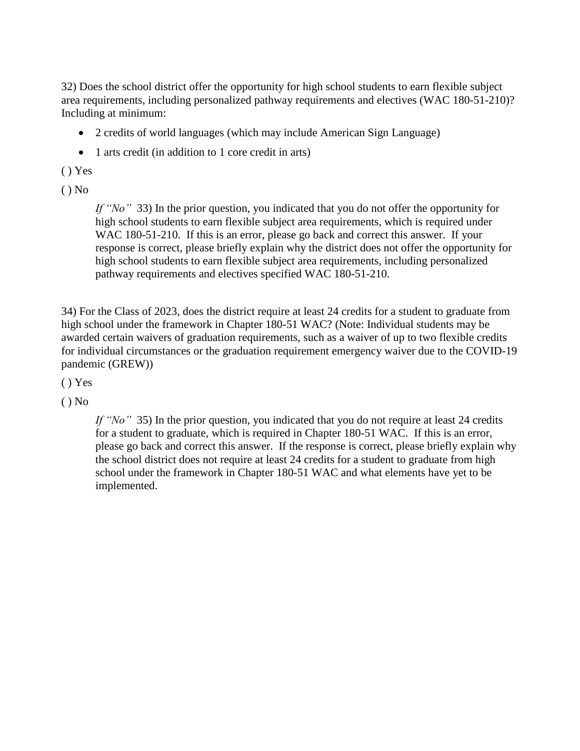32) Does the school district offer the opportunity for high school students to earn flexible subject area requirements, including personalized pathway requirements and electives (WAC 180-51-210)? Including at minimum:

- 2 credits of world languages (which may include American Sign Language)
- 1 arts credit (in addition to 1 core credit in arts)

#### ( ) Yes

 $()$  No

*If "No"* 33) In the prior question, you indicated that you do not offer the opportunity for high school students to earn flexible subject area requirements, which is required under WAC 180-51-210. If this is an error, please go back and correct this answer. If your response is correct, please briefly explain why the district does not offer the opportunity for high school students to earn flexible subject area requirements, including personalized pathway requirements and electives specified WAC 180-51-210.

34) For the Class of 2023, does the district require at least 24 credits for a student to graduate from high school under the framework in Chapter 180-51 WAC? (Note: Individual students may be awarded certain waivers of graduation requirements, such as a waiver of up to two flexible credits for individual circumstances or the graduation requirement emergency waiver due to the COVID-19 pandemic (GREW))

( ) Yes

( ) No

*If* "No" 35) In the prior question, you indicated that you do not require at least 24 credits for a student to graduate, which is required in Chapter 180-51 WAC. If this is an error, please go back and correct this answer. If the response is correct, please briefly explain why the school district does not require at least 24 credits for a student to graduate from high school under the framework in Chapter 180-51 WAC and what elements have yet to be implemented.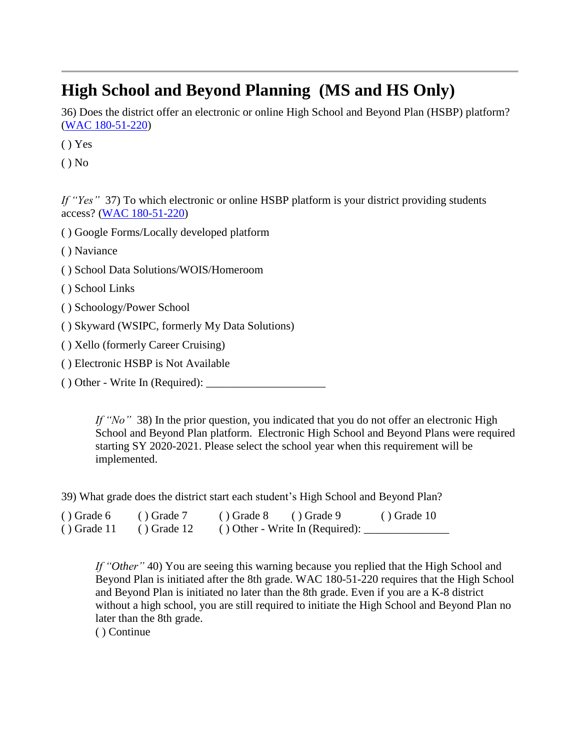# **High School and Beyond Planning (MS and HS Only)**

36) Does the district offer an electronic or online High School and Beyond Plan (HSBP) platform? (WAC [180-51-220\)](https://app.leg.wa.gov/wac/default.aspx?cite=180-51-220)

( ) Yes

 $()$  No

*If "Yes"* 37) To which electronic or online HSBP platform is your district providing students access? (WAC [180-51-220\)](https://app.leg.wa.gov/WAC/default.aspx?cite=180-51-220)

( ) Google Forms/Locally developed platform

( ) Naviance

- ( ) School Data Solutions/WOIS/Homeroom
- ( ) School Links
- ( ) Schoology/Power School
- ( ) Skyward (WSIPC, formerly My Data Solutions)
- ( ) Xello (formerly Career Cruising)
- ( ) Electronic HSBP is Not Available
- ( ) Other Write In (Required): \_\_\_\_\_\_\_\_\_\_\_\_\_\_\_\_\_\_\_\_\_

*If "No"* 38) In the prior question, you indicated that you do not offer an electronic High School and Beyond Plan platform. Electronic High School and Beyond Plans were required starting SY 2020-2021. Please select the school year when this requirement will be implemented.

39) What grade does the district start each student's High School and Beyond Plan?

| $()$ Grade 6  | $()$ Grade 7  | $()$ Grade 8<br>$()$ Grade 9       | $()$ Grade 10 |
|---------------|---------------|------------------------------------|---------------|
| $()$ Grade 11 | $()$ Grade 12 | $( )$ Other - Write In (Required): |               |

*If "Other"* 40) You are seeing this warning because you replied that the High School and Beyond Plan is initiated after the 8th grade. WAC 180-51-220 requires that the High School and Beyond Plan is initiated no later than the 8th grade. Even if you are a K-8 district without a high school, you are still required to initiate the High School and Beyond Plan no later than the 8th grade.

( ) Continue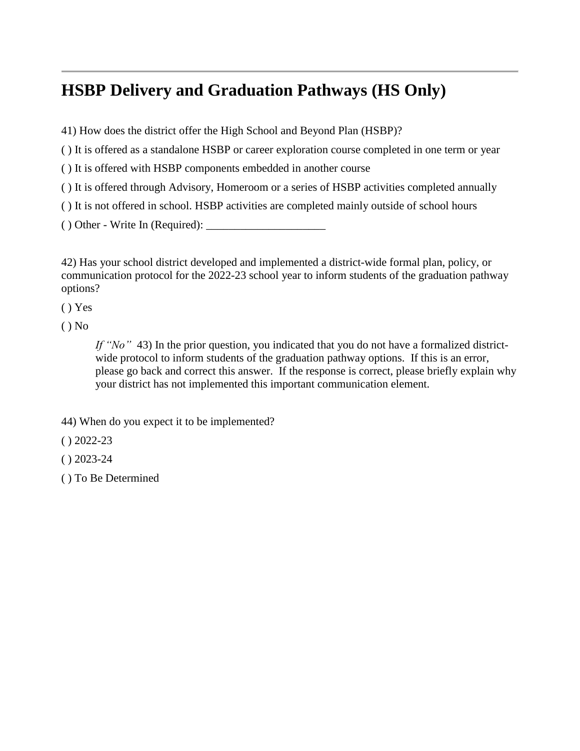# **HSBP Delivery and Graduation Pathways (HS Only)**

- 41) How does the district offer the High School and Beyond Plan (HSBP)?
- ( ) It is offered as a standalone HSBP or career exploration course completed in one term or year
- ( ) It is offered with HSBP components embedded in another course
- ( ) It is offered through Advisory, Homeroom or a series of HSBP activities completed annually
- ( ) It is not offered in school. HSBP activities are completed mainly outside of school hours

 $()$  Other - Write In (Required):

42) Has your school district developed and implemented a district-wide formal plan, policy, or communication protocol for the 2022-23 school year to inform students of the graduation pathway options?

( ) Yes

 $()$  No

*If "No"* 43) In the prior question, you indicated that you do not have a formalized districtwide protocol to inform students of the graduation pathway options. If this is an error, please go back and correct this answer. If the response is correct, please briefly explain why your district has not implemented this important communication element.

44) When do you expect it to be implemented?

- $( ) 2022 23$
- $( ) 2023 24$
- ( ) To Be Determined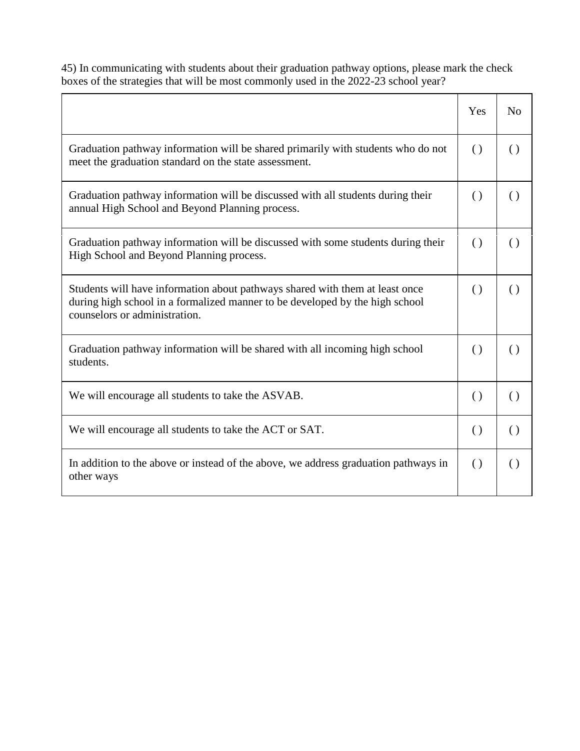45) In communicating with students about their graduation pathway options, please mark the check boxes of the strategies that will be most commonly used in the 2022-23 school year?

|                                                                                                                                                                                               | Yes                | N <sub>o</sub>     |
|-----------------------------------------------------------------------------------------------------------------------------------------------------------------------------------------------|--------------------|--------------------|
| Graduation pathway information will be shared primarily with students who do not<br>meet the graduation standard on the state assessment.                                                     | $\left( \ \right)$ | $\left( \right)$   |
| Graduation pathway information will be discussed with all students during their<br>annual High School and Beyond Planning process.                                                            | $\left( \right)$   | $\left( \right)$   |
| Graduation pathway information will be discussed with some students during their<br>High School and Beyond Planning process.                                                                  | $\left( \right)$   | $\left( \right)$   |
| Students will have information about pathways shared with them at least once<br>during high school in a formalized manner to be developed by the high school<br>counselors or administration. | $\left( \right)$   | $\left( \ \right)$ |
| Graduation pathway information will be shared with all incoming high school<br>students.                                                                                                      | $\left( \ \right)$ | $\left( \ \right)$ |
| We will encourage all students to take the ASVAB.                                                                                                                                             | $\left( \right)$   | $\left( \ \right)$ |
| We will encourage all students to take the ACT or SAT.                                                                                                                                        | $\left( \right)$   | $\left( \ \right)$ |
| In addition to the above or instead of the above, we address graduation pathways in<br>other ways                                                                                             | $\left( \ \right)$ | $\left( \ \right)$ |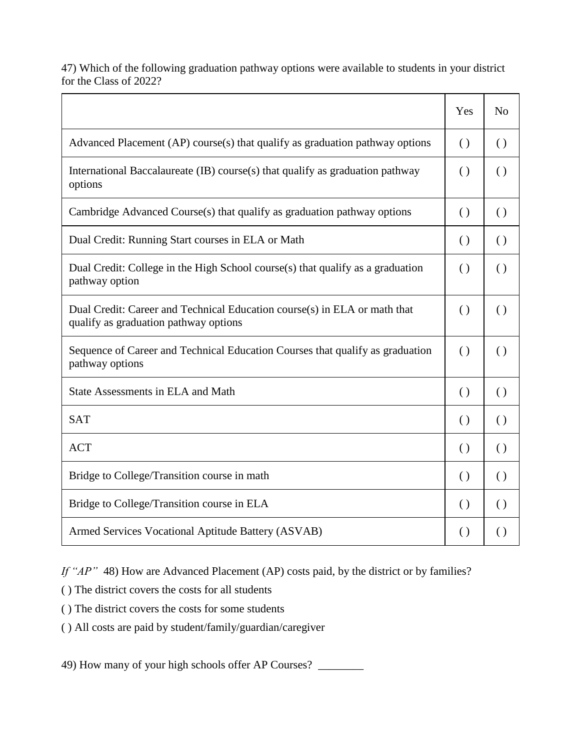47) Which of the following graduation pathway options were available to students in your district for the Class of 2022?

|                                                                                                                    | Yes                | N <sub>o</sub>     |
|--------------------------------------------------------------------------------------------------------------------|--------------------|--------------------|
| Advanced Placement (AP) course(s) that qualify as graduation pathway options                                       | $\left( \right)$   | $\left( \right)$   |
| International Baccalaureate (IB) course(s) that qualify as graduation pathway<br>options                           | $\left( \right)$   | $\left( \right)$   |
| Cambridge Advanced Course(s) that qualify as graduation pathway options                                            | $\left( \right)$   | $\left( \right)$   |
| Dual Credit: Running Start courses in ELA or Math                                                                  | $\left( \right)$   | $\left( \right)$   |
| Dual Credit: College in the High School course(s) that qualify as a graduation<br>pathway option                   | $\left( \ \right)$ | $\left( \right)$   |
| Dual Credit: Career and Technical Education course(s) in ELA or math that<br>qualify as graduation pathway options | $\left( \ \right)$ | $\left( \ \right)$ |
| Sequence of Career and Technical Education Courses that qualify as graduation<br>pathway options                   | $\left( \ \right)$ | $\left( \right)$   |
| State Assessments in ELA and Math                                                                                  | $\left( \right)$   | $\left( \right)$   |
| <b>SAT</b>                                                                                                         | $\left( \right)$   | $\left( \right)$   |
| <b>ACT</b>                                                                                                         | $\left( \right)$   | $\left( \right)$   |
| Bridge to College/Transition course in math                                                                        | $\left( \right)$   | $\left( \right)$   |
| Bridge to College/Transition course in ELA                                                                         | $\left( \right)$   | $\left( \right)$   |
| Armed Services Vocational Aptitude Battery (ASVAB)                                                                 | $\left( \right)$   | $\left( \right)$   |

*If "AP"* 48) How are Advanced Placement (AP) costs paid, by the district or by families?

( ) The district covers the costs for all students

( ) The district covers the costs for some students

( ) All costs are paid by student/family/guardian/caregiver

49) How many of your high schools offer AP Courses? \_\_\_\_\_\_\_\_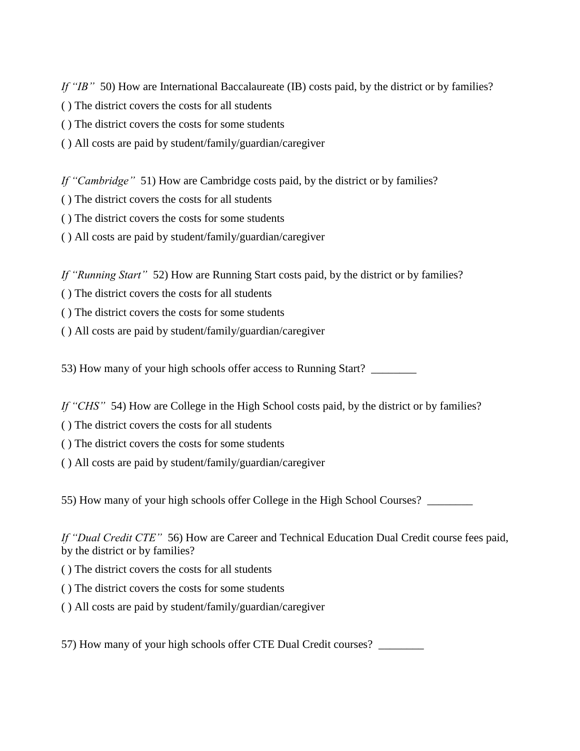*If "IB"* 50) How are International Baccalaureate (IB) costs paid, by the district or by families?

- ( ) The district covers the costs for all students
- ( ) The district covers the costs for some students
- ( ) All costs are paid by student/family/guardian/caregiver

*If "Cambridge"* 51) How are Cambridge costs paid, by the district or by families?

- ( ) The district covers the costs for all students
- ( ) The district covers the costs for some students
- ( ) All costs are paid by student/family/guardian/caregiver

*If "Running Start"* 52) How are Running Start costs paid, by the district or by families?

- ( ) The district covers the costs for all students
- ( ) The district covers the costs for some students
- ( ) All costs are paid by student/family/guardian/caregiver

53) How many of your high schools offer access to Running Start?

*If "CHS"* 54) How are College in the High School costs paid, by the district or by families?

- ( ) The district covers the costs for all students
- ( ) The district covers the costs for some students
- ( ) All costs are paid by student/family/guardian/caregiver

55) How many of your high schools offer College in the High School Courses? \_\_\_\_\_\_\_\_

*If "Dual Credit CTE"* 56) How are Career and Technical Education Dual Credit course fees paid, by the district or by families?

- ( ) The district covers the costs for all students
- ( ) The district covers the costs for some students
- ( ) All costs are paid by student/family/guardian/caregiver

57) How many of your high schools offer CTE Dual Credit courses?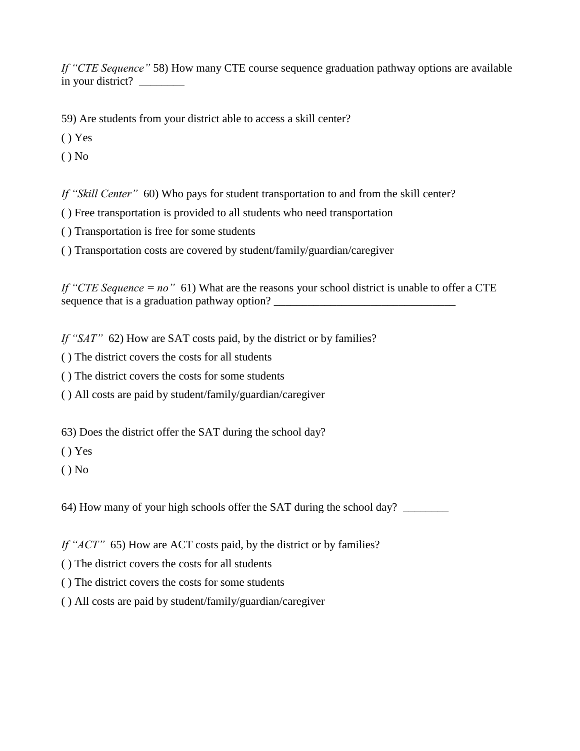*If "CTE Sequence"* 58) How many CTE course sequence graduation pathway options are available in your district?

59) Are students from your district able to access a skill center?

( ) Yes

( ) No

*If "Skill Center"* 60) Who pays for student transportation to and from the skill center?

( ) Free transportation is provided to all students who need transportation

( ) Transportation is free for some students

( ) Transportation costs are covered by student/family/guardian/caregiver

*If "CTE Sequence = no"* 61) What are the reasons your school district is unable to offer a CTE sequence that is a graduation pathway option? \_\_\_\_\_\_\_\_\_\_\_\_\_\_\_\_\_\_\_\_\_\_\_\_\_\_\_\_\_\_\_\_\_\_\_

*If "SAT"* 62) How are SAT costs paid, by the district or by families?

( ) The district covers the costs for all students

( ) The district covers the costs for some students

( ) All costs are paid by student/family/guardian/caregiver

63) Does the district offer the SAT during the school day?

( ) Yes

 $()$  No

64) How many of your high schools offer the SAT during the school day? \_\_\_\_\_\_\_\_

*If "ACT"* 65) How are ACT costs paid, by the district or by families?

( ) The district covers the costs for all students

( ) The district covers the costs for some students

( ) All costs are paid by student/family/guardian/caregiver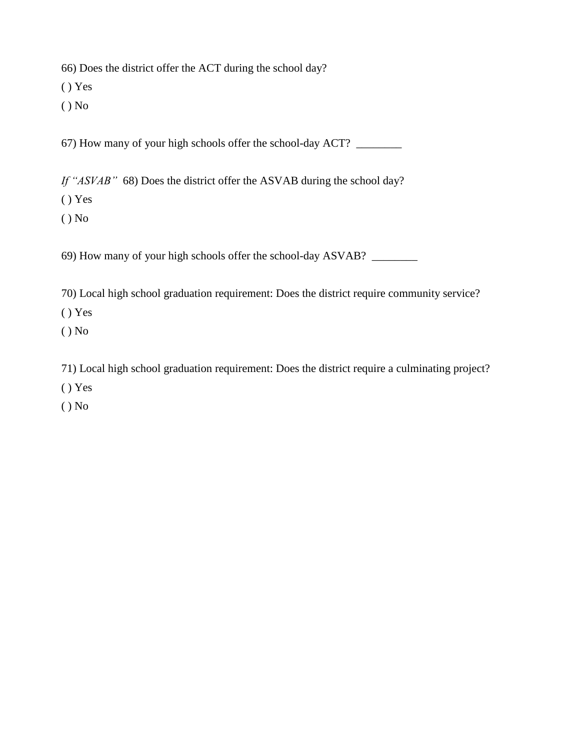66) Does the district offer the ACT during the school day?

( ) Yes

( ) No

67) How many of your high schools offer the school-day ACT? \_\_\_\_\_\_\_\_

*If "ASVAB"* 68) Does the district offer the ASVAB during the school day?

( ) Yes

( ) No

69) How many of your high schools offer the school-day ASVAB? \_\_\_\_\_\_\_\_

70) Local high school graduation requirement: Does the district require community service?

( ) Yes

( ) No

71) Local high school graduation requirement: Does the district require a culminating project?

( ) Yes

( ) No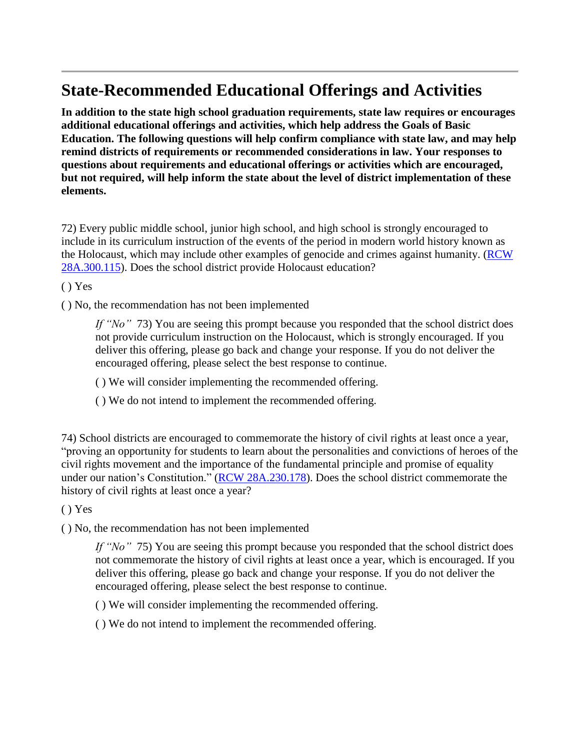# **State-Recommended Educational Offerings and Activities**

**In addition to the state high school graduation requirements, state law requires or encourages additional educational offerings and activities, which help address the Goals of Basic Education. The following questions will help confirm compliance with state law, and may help remind districts of requirements or recommended considerations in law. Your responses to questions about requirements and educational offerings or activities which are encouraged, but not required, will help inform the state about the level of district implementation of these elements.**

72) Every public middle school, junior high school, and high school is strongly encouraged to include in its curriculum instruction of the events of the period in modern world history known as the Holocaust, which may include other examples of genocide and crimes against humanity. (**RCW**) [28A.300.115\)](https://app.leg.wa.gov/rcw/default.aspx?cite=28A.300.115). Does the school district provide Holocaust education?

( ) Yes

( ) No, the recommendation has not been implemented

*If "No"* 73) You are seeing this prompt because you responded that the school district does not provide curriculum instruction on the Holocaust, which is strongly encouraged. If you deliver this offering, please go back and change your response. If you do not deliver the encouraged offering, please select the best response to continue.

- ( ) We will consider implementing the recommended offering.
- ( ) We do not intend to implement the recommended offering.

74) School districts are encouraged to commemorate the history of civil rights at least once a year, "proving an opportunity for students to learn about the personalities and convictions of heroes of the civil rights movement and the importance of the fundamental principle and promise of equality under our nation's Constitution." (RCW [28A.230.178\)](https://app.leg.wa.gov/rcw/default.aspx?cite=28A.230.178). Does the school district commemorate the history of civil rights at least once a year?

( ) Yes

( ) No, the recommendation has not been implemented

*If "No"* 75) You are seeing this prompt because you responded that the school district does not commemorate the history of civil rights at least once a year, which is encouraged. If you deliver this offering, please go back and change your response. If you do not deliver the encouraged offering, please select the best response to continue.

( ) We will consider implementing the recommended offering.

( ) We do not intend to implement the recommended offering.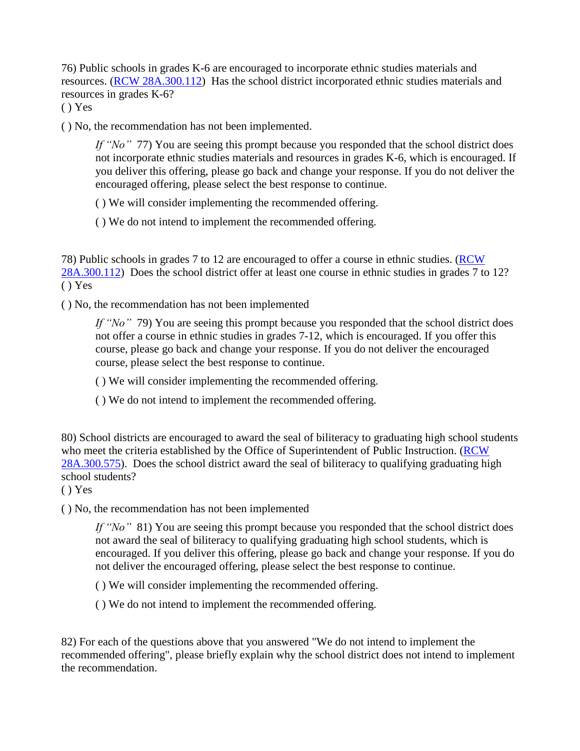76) Public schools in grades K-6 are encouraged to incorporate ethnic studies materials and resources. (RCW [28A.300.112\)](https://app.leg.wa.gov/RCW/default.aspx?cite=28A.300.112) Has the school district incorporated ethnic studies materials and resources in grades K-6?

( ) Yes

( ) No, the recommendation has not been implemented.

*If "No" 77*) You are seeing this prompt because you responded that the school district does not incorporate ethnic studies materials and resources in grades K-6, which is encouraged. If you deliver this offering, please go back and change your response. If you do not deliver the encouraged offering, please select the best response to continue.

( ) We will consider implementing the recommended offering.

( ) We do not intend to implement the recommended offering.

78) Public schools in grades 7 to 12 are encouraged to offer a course in ethnic studies. [\(RCW](https://app.leg.wa.gov/RCW/default.aspx?cite=28A.300.112) [28A.300.112\)](https://app.leg.wa.gov/RCW/default.aspx?cite=28A.300.112) Does the school district offer at least one course in ethnic studies in grades 7 to 12? ( ) Yes

( ) No, the recommendation has not been implemented

*If "No"* 79) You are seeing this prompt because you responded that the school district does not offer a course in ethnic studies in grades 7-12, which is encouraged. If you offer this course, please go back and change your response. If you do not deliver the encouraged course, please select the best response to continue.

( ) We will consider implementing the recommended offering.

( ) We do not intend to implement the recommended offering.

80) School districts are encouraged to award the seal of biliteracy to graduating high school students who meet the criteria established by the Office of Superintendent of Public Instruction. [\(RCW](https://app.leg.wa.gov/rcw/default.aspx?cite=28A.300.575) [28A.300.575\)](https://app.leg.wa.gov/rcw/default.aspx?cite=28A.300.575). Does the school district award the seal of biliteracy to qualifying graduating high school students?

( ) Yes

( ) No, the recommendation has not been implemented

*If* "No" 81) You are seeing this prompt because you responded that the school district does not award the seal of biliteracy to qualifying graduating high school students, which is encouraged. If you deliver this offering, please go back and change your response. If you do not deliver the encouraged offering, please select the best response to continue.

( ) We will consider implementing the recommended offering.

( ) We do not intend to implement the recommended offering.

82) For each of the questions above that you answered "We do not intend to implement the recommended offering", please briefly explain why the school district does not intend to implement the recommendation.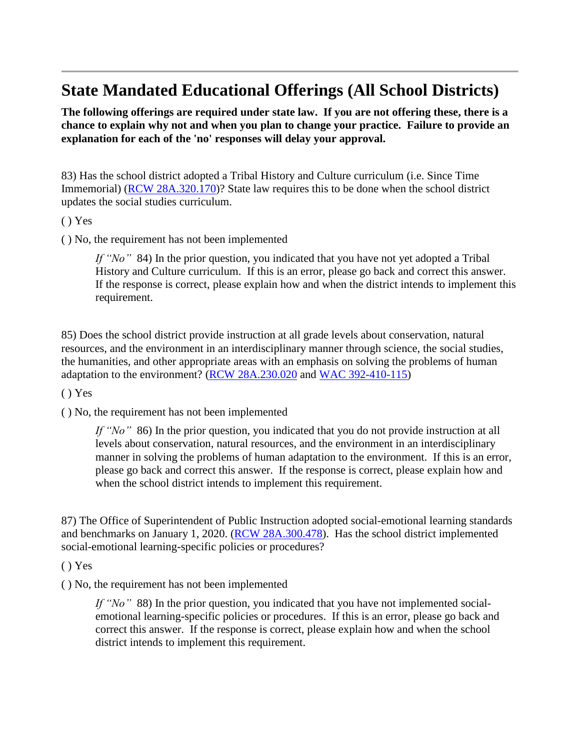### **State Mandated Educational Offerings (All School Districts)**

**The following offerings are required under state law. If you are not offering these, there is a chance to explain why not and when you plan to change your practice. Failure to provide an explanation for each of the 'no' responses will delay your approval.**

83) Has the school district adopted a Tribal History and Culture curriculum (i.e. Since Time Immemorial) (RCW [28A.320.170\)](https://app.leg.wa.gov/rcw/default.aspx?cite=28A.320.170)? State law requires this to be done when the school district updates the social studies curriculum.

( ) Yes

( ) No, the requirement has not been implemented

*If "No"* 84) In the prior question, you indicated that you have not yet adopted a Tribal History and Culture curriculum. If this is an error, please go back and correct this answer. If the response is correct, please explain how and when the district intends to implement this requirement.

85) Does the school district provide instruction at all grade levels about conservation, natural resources, and the environment in an interdisciplinary manner through science, the social studies, the humanities, and other appropriate areas with an emphasis on solving the problems of human adaptation to the environment? (RCW [28A.230.020](https://apps.leg.wa.gov/rcw/default.aspx?cite=28A.230.020) and WAC [392-410-115\)](https://apps.leg.wa.gov/wac/default.aspx?cite=392-410-115)

( ) Yes

( ) No, the requirement has not been implemented

*If "No"* 86) In the prior question, you indicated that you do not provide instruction at all levels about conservation, natural resources, and the environment in an interdisciplinary manner in solving the problems of human adaptation to the environment. If this is an error, please go back and correct this answer. If the response is correct, please explain how and when the school district intends to implement this requirement.

87) The Office of Superintendent of Public Instruction adopted social-emotional learning standards and benchmarks on January 1, 2020. (RCW [28A.300.478\)](https://app.leg.wa.gov/rcw/default.aspx?cite=28A.300.478). Has the school district implemented social-emotional learning-specific policies or procedures?

( ) Yes

( ) No, the requirement has not been implemented

*If "No"* 88) In the prior question, you indicated that you have not implemented socialemotional learning-specific policies or procedures. If this is an error, please go back and correct this answer. If the response is correct, please explain how and when the school district intends to implement this requirement.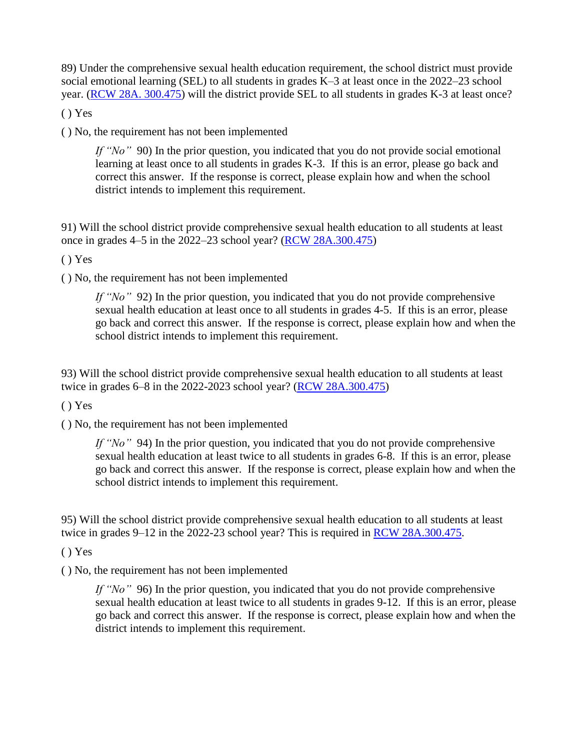89) Under the comprehensive sexual health education requirement, the school district must provide social emotional learning (SEL) to all students in grades K–3 at least once in the 2022–23 school year. (RCW 28A. [300.475\)](https://apps.leg.wa.gov/rcw/default.aspx?cite=28A.300.475) will the district provide SEL to all students in grades K-3 at least once?

 $() Yes$ 

( ) No, the requirement has not been implemented

*If* "No" 90) In the prior question, you indicated that you do not provide social emotional learning at least once to all students in grades K-3. If this is an error, please go back and correct this answer. If the response is correct, please explain how and when the school district intends to implement this requirement.

91) Will the school district provide comprehensive sexual health education to all students at least once in grades 4–5 in the 2022–23 school year? (RCW [28A.300.475\)](https://apps.leg.wa.gov/rcw/default.aspx?cite=28A.300.475)

( ) Yes

( ) No, the requirement has not been implemented

*If "No"* 92) In the prior question, you indicated that you do not provide comprehensive sexual health education at least once to all students in grades 4-5. If this is an error, please go back and correct this answer. If the response is correct, please explain how and when the school district intends to implement this requirement.

93) Will the school district provide comprehensive sexual health education to all students at least twice in grades 6–8 in the 2022-2023 school year? (RCW [28A.300.475\)](https://apps.leg.wa.gov/rcw/default.aspx?cite=28A.300.475)

( ) Yes

( ) No, the requirement has not been implemented

*If "No"* 94) In the prior question, you indicated that you do not provide comprehensive sexual health education at least twice to all students in grades 6-8. If this is an error, please go back and correct this answer. If the response is correct, please explain how and when the school district intends to implement this requirement.

95) Will the school district provide comprehensive sexual health education to all students at least twice in grades 9–12 in the 2022-23 school year? This is required in RCW [28A.300.475.](https://apps.leg.wa.gov/rcw/default.aspx?cite=28A.300.475)

( ) Yes

( ) No, the requirement has not been implemented

*If "No"* 96) In the prior question, you indicated that you do not provide comprehensive sexual health education at least twice to all students in grades 9-12. If this is an error, please go back and correct this answer. If the response is correct, please explain how and when the district intends to implement this requirement.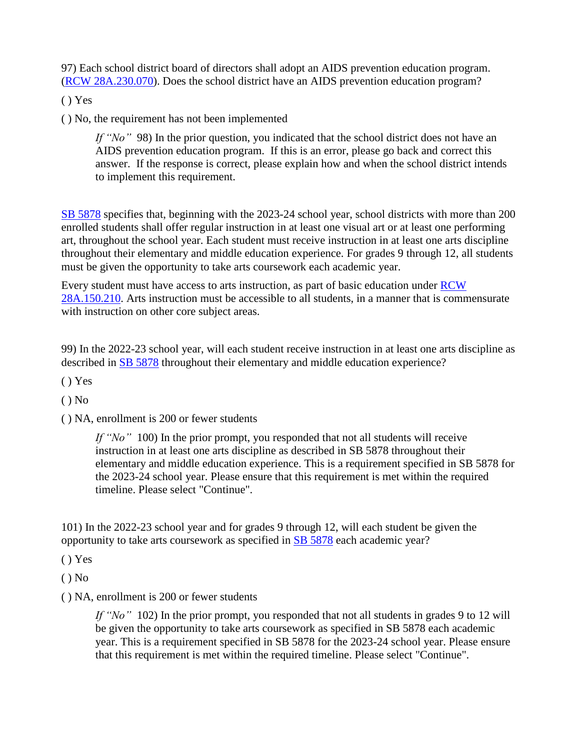97) Each school district board of directors shall adopt an AIDS prevention education program. (RCW [28A.230.070\)](https://apps.leg.wa.gov/rcw/default.aspx?cite=28A.230.070). Does the school district have an AIDS prevention education program?

( ) Yes

( ) No, the requirement has not been implemented

*If "No"* 98) In the prior question, you indicated that the school district does not have an AIDS prevention education program. If this is an error, please go back and correct this answer. If the response is correct, please explain how and when the school district intends to implement this requirement.

SB [5878](https://app.leg.wa.gov/billsummary?BillNumber=5878&Year=2022) specifies that, beginning with the 2023-24 school year, school districts with more than 200 enrolled students shall offer regular instruction in at least one visual art or at least one performing art, throughout the school year. Each student must receive instruction in at least one arts discipline throughout their elementary and middle education experience. For grades 9 through 12, all students must be given the opportunity to take arts coursework each academic year.

Every student must have access to arts instruction, as part of basic education under **[RCW](https://app.leg.wa.gov/rcw/default.aspx?cite=28A.150.210)** [28A.150.210.](https://app.leg.wa.gov/rcw/default.aspx?cite=28A.150.210) Arts instruction must be accessible to all students, in a manner that is commensurate with instruction on other core subject areas.

99) In the 2022-23 school year, will each student receive instruction in at least one arts discipline as described in SB [5878](http://lawfilesext.leg.wa.gov/biennium/2021-22/Pdf/Bill%20Reports/Senate/5878-S.E%20SBR%20FBR%2022.pdf?q=20220514095806) throughout their elementary and middle education experience?

( ) Yes

 $()$  No

( ) NA, enrollment is 200 or fewer students

*If "No"* 100) In the prior prompt, you responded that not all students will receive instruction in at least one arts discipline as described in SB 5878 throughout their elementary and middle education experience. This is a requirement specified in SB 5878 for the 2023-24 school year. Please ensure that this requirement is met within the required timeline. Please select "Continue".

101) In the 2022-23 school year and for grades 9 through 12, will each student be given the opportunity to take arts coursework as specified in SB [5878](https://app.leg.wa.gov/billsummary?BillNumber=5878&Year=2022) each academic year?

( ) Yes

 $()$  No

( ) NA, enrollment is 200 or fewer students

*If "No"* 102) In the prior prompt, you responded that not all students in grades 9 to 12 will be given the opportunity to take arts coursework as specified in SB 5878 each academic year. This is a requirement specified in SB 5878 for the 2023-24 school year. Please ensure that this requirement is met within the required timeline. Please select "Continue".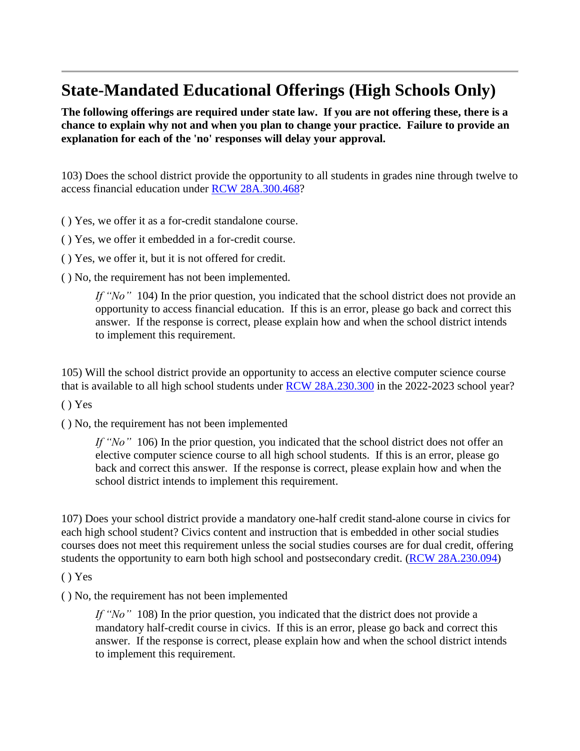### **State-Mandated Educational Offerings (High Schools Only)**

**The following offerings are required under state law. If you are not offering these, there is a chance to explain why not and when you plan to change your practice. Failure to provide an explanation for each of the 'no' responses will delay your approval.**

103) Does the school district provide the opportunity to all students in grades nine through twelve to access financial education under RCW [28A.300.468?](https://app.leg.wa.gov/rcw/default.aspx?cite=28A.300.468)

( ) Yes, we offer it as a for-credit standalone course.

( ) Yes, we offer it embedded in a for-credit course.

( ) Yes, we offer it, but it is not offered for credit.

( ) No, the requirement has not been implemented.

*If "No"* 104) In the prior question, you indicated that the school district does not provide an opportunity to access financial education. If this is an error, please go back and correct this answer. If the response is correct, please explain how and when the school district intends to implement this requirement.

105) Will the school district provide an opportunity to access an elective computer science course that is available to all high school students under RCW [28A.230.300](https://app.leg.wa.gov/rcw/default.aspx?cite=28A.230.300) in the 2022-2023 school year?

( ) Yes

( ) No, the requirement has not been implemented

*If "No"* 106) In the prior question, you indicated that the school district does not offer an elective computer science course to all high school students. If this is an error, please go back and correct this answer. If the response is correct, please explain how and when the school district intends to implement this requirement.

107) Does your school district provide a mandatory one-half credit stand-alone course in civics for each high school student? Civics content and instruction that is embedded in other social studies courses does not meet this requirement unless the social studies courses are for dual credit, offering students the opportunity to earn both high school and postsecondary credit. (RCW [28A.230.094\)](https://app.leg.wa.gov/rcw/default.aspx?cite=28A.230.094)

( ) Yes

( ) No, the requirement has not been implemented

*If "No"* 108) In the prior question, you indicated that the district does not provide a mandatory half-credit course in civics. If this is an error, please go back and correct this answer. If the response is correct, please explain how and when the school district intends to implement this requirement.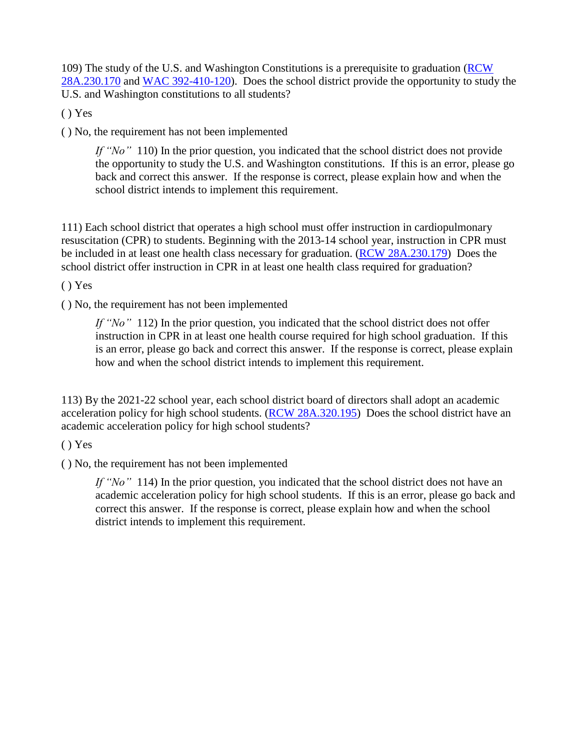109) The study of the U.S. and Washington Constitutions is a prerequisite to graduation [\(RCW](https://apps.leg.wa.gov/RCW/default.aspx?cite=28A.230.170) [28A.230.170](https://apps.leg.wa.gov/RCW/default.aspx?cite=28A.230.170) and WAC [392-410-120\)](https://app.leg.wa.gov/WAC/default.aspx?cite=392-410-120). Does the school district provide the opportunity to study the U.S. and Washington constitutions to all students?

( ) Yes

( ) No, the requirement has not been implemented

*If* "No" 110) In the prior question, you indicated that the school district does not provide the opportunity to study the U.S. and Washington constitutions. If this is an error, please go back and correct this answer. If the response is correct, please explain how and when the school district intends to implement this requirement.

111) Each school district that operates a high school must offer instruction in cardiopulmonary resuscitation (CPR) to students. Beginning with the 2013-14 school year, instruction in CPR must be included in at least one health class necessary for graduation. (RCW [28A.230.179\)](https://apps.leg.wa.gov/rcw/default.aspx?cite=28A.230.179) Does the school district offer instruction in CPR in at least one health class required for graduation?

( ) Yes

( ) No, the requirement has not been implemented

*If "No"* 112) In the prior question, you indicated that the school district does not offer instruction in CPR in at least one health course required for high school graduation. If this is an error, please go back and correct this answer. If the response is correct, please explain how and when the school district intends to implement this requirement.

113) By the 2021-22 school year, each school district board of directors shall adopt an academic acceleration policy for high school students. (RCW [28A.320.195\)](https://app.leg.wa.gov/rcw/default.aspx?cite=28A.320.195) Does the school district have an academic acceleration policy for high school students?

( ) Yes

( ) No, the requirement has not been implemented

*If "No"* 114) In the prior question, you indicated that the school district does not have an academic acceleration policy for high school students. If this is an error, please go back and correct this answer. If the response is correct, please explain how and when the school district intends to implement this requirement.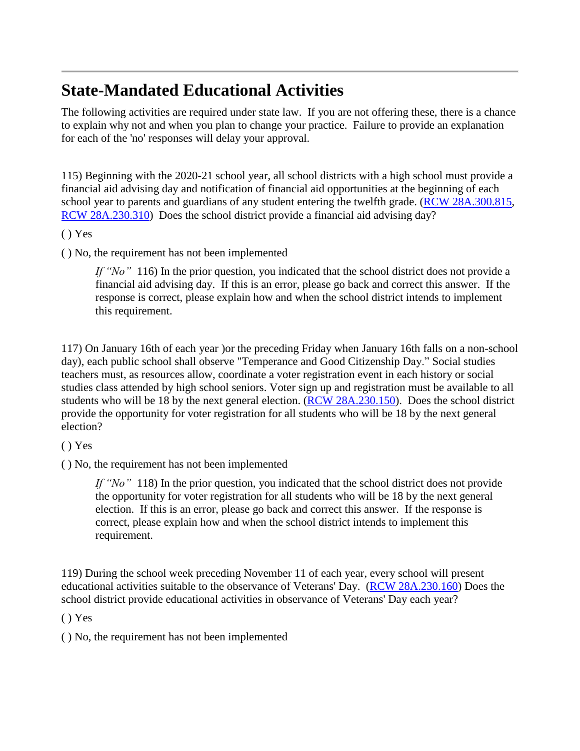# **State-Mandated Educational Activities**

The following activities are required under state law. If you are not offering these, there is a chance to explain why not and when you plan to change your practice. Failure to provide an explanation for each of the 'no' responses will delay your approval.

115) Beginning with the 2020-21 school year, all school districts with a high school must provide a financial aid advising day and notification of financial aid opportunities at the beginning of each school year to parents and guardians of any student entering the twelfth grade. (RCW [28A.300.815,](https://app.leg.wa.gov/rcw/default.aspx?cite=28A.300.815) RCW [28A.230.310\)](https://app.leg.wa.gov/rcw/default.aspx?cite=28A.230.310) Does the school district provide a financial aid advising day?

( ) Yes

( ) No, the requirement has not been implemented

*If* "No" 116) In the prior question, you indicated that the school district does not provide a financial aid advising day. If this is an error, please go back and correct this answer. If the response is correct, please explain how and when the school district intends to implement this requirement.

117) On January 16th of each year )or the preceding Friday when January 16th falls on a non-school day), each public school shall observe "Temperance and Good Citizenship Day." Social studies teachers must, as resources allow, coordinate a voter registration event in each history or social studies class attended by high school seniors. Voter sign up and registration must be available to all students who will be 18 by the next general election. (RCW [28A.230.150\)](https://app.leg.wa.gov/rcw/default.aspx?cite=28A.230.150). Does the school district provide the opportunity for voter registration for all students who will be 18 by the next general election?

( ) Yes

( ) No, the requirement has not been implemented

*If "No"* 118) In the prior question, you indicated that the school district does not provide the opportunity for voter registration for all students who will be 18 by the next general election. If this is an error, please go back and correct this answer. If the response is correct, please explain how and when the school district intends to implement this requirement.

119) During the school week preceding November 11 of each year, every school will present educational activities suitable to the observance of Veterans' Day. (RCW [28A.230.160\)](https://app.leg.wa.gov/rcw/default.aspx?cite=28A.230.160#:~:text=The%20responsibility%20for%20the%20preparation,the%20institutions%20and%20laws%20of) Does the school district provide educational activities in observance of Veterans' Day each year?

( ) Yes

( ) No, the requirement has not been implemented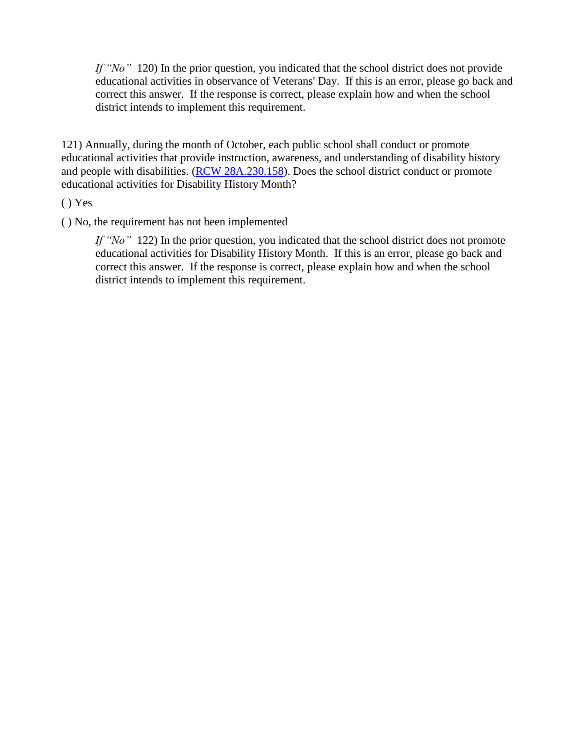*If* "No" 120) In the prior question, you indicated that the school district does not provide educational activities in observance of Veterans' Day. If this is an error, please go back and correct this answer. If the response is correct, please explain how and when the school district intends to implement this requirement.

121) Annually, during the month of October, each public school shall conduct or promote educational activities that provide instruction, awareness, and understanding of disability history and people with disabilities. (RCW [28A.230.158\)](https://app.leg.wa.gov/rcw/default.aspx?cite=28A.230.158). Does the school district conduct or promote educational activities for Disability History Month?

( ) Yes

( ) No, the requirement has not been implemented

*If "No"* 122) In the prior question, you indicated that the school district does not promote educational activities for Disability History Month. If this is an error, please go back and correct this answer. If the response is correct, please explain how and when the school district intends to implement this requirement.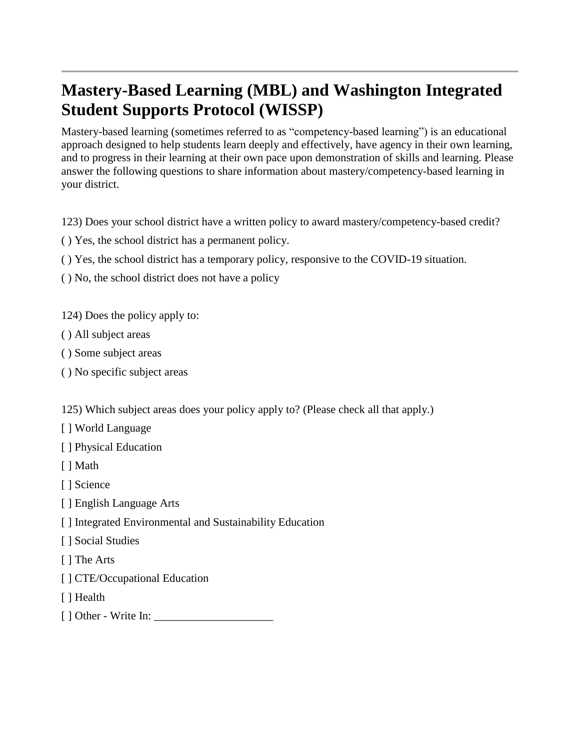# **Mastery-Based Learning (MBL) and Washington Integrated Student Supports Protocol (WISSP)**

Mastery-based learning (sometimes referred to as "competency-based learning") is an educational approach designed to help students learn deeply and effectively, have agency in their own learning, and to progress in their learning at their own pace upon demonstration of skills and learning. Please answer the following questions to share information about mastery/competency-based learning in your district.

123) Does your school district have a written policy to award mastery/competency-based credit?

- ( ) Yes, the school district has a permanent policy.
- ( ) Yes, the school district has a temporary policy, responsive to the COVID-19 situation.
- ( ) No, the school district does not have a policy

124) Does the policy apply to:

- ( ) All subject areas
- ( ) Some subject areas
- ( ) No specific subject areas

125) Which subject areas does your policy apply to? (Please check all that apply.)

[ ] World Language

[ ] Physical Education

[ ] Math

[ ] Science

- [ ] English Language Arts
- [ ] Integrated Environmental and Sustainability Education
- [ ] Social Studies
- [ ] The Arts
- [ ] CTE/Occupational Education
- [ ] Health
- $\lceil$  ] Other Write In: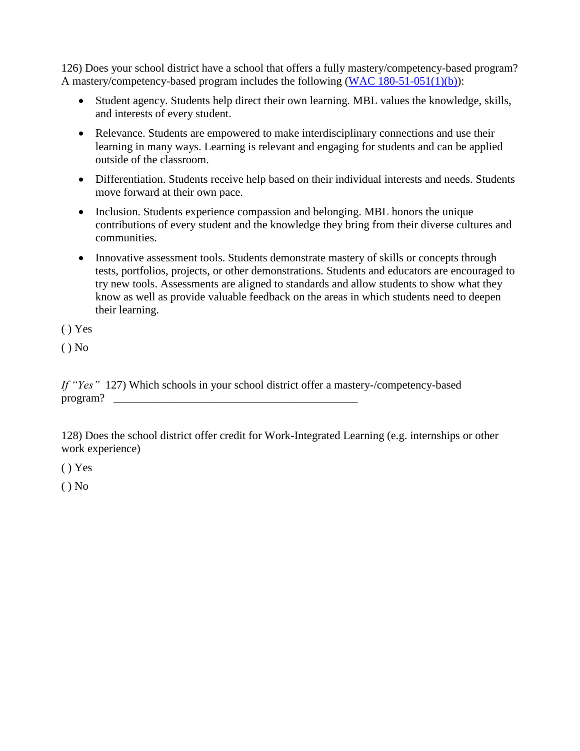126) Does your school district have a school that offers a fully mastery/competency-based program? A mastery/competency-based program includes the following (WAC [180-51-051\(1\)\(b\)\)](https://app.leg.wa.gov/WAC/default.aspx?cite=180-51-051&pdf=true):

- Student agency. Students help direct their own learning. MBL values the knowledge, skills, and interests of every student.
- Relevance. Students are empowered to make interdisciplinary connections and use their learning in many ways. Learning is relevant and engaging for students and can be applied outside of the classroom.
- Differentiation. Students receive help based on their individual interests and needs. Students move forward at their own pace.
- Inclusion. Students experience compassion and belonging. MBL honors the unique contributions of every student and the knowledge they bring from their diverse cultures and communities.
- Innovative assessment tools. Students demonstrate mastery of skills or concepts through tests, portfolios, projects, or other demonstrations. Students and educators are encouraged to try new tools. Assessments are aligned to standards and allow students to show what they know as well as provide valuable feedback on the areas in which students need to deepen their learning.

( ) Yes

 $()$  No

*If "Yes"* 127) Which schools in your school district offer a mastery-/competency-based  $\mathbf{program?}$ 

128) Does the school district offer credit for Work-Integrated Learning (e.g. internships or other work experience)

( ) Yes

 $()$  No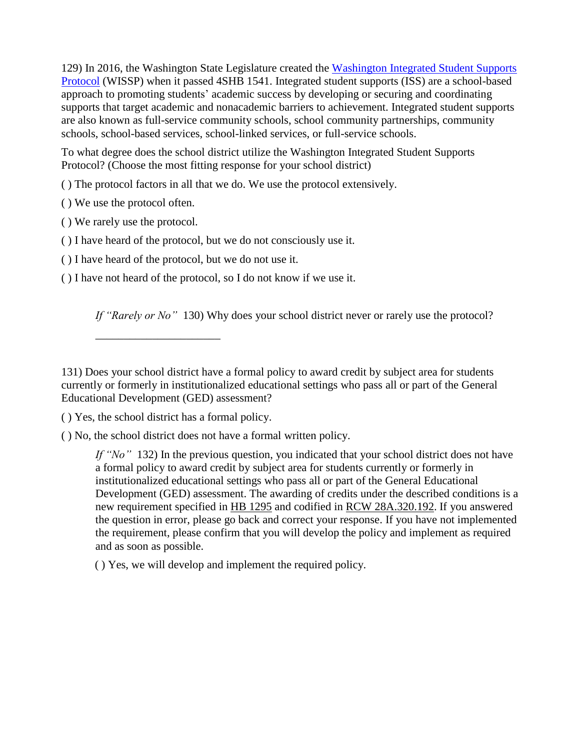129) In 2016, the Washington State Legislature created the [Washington](https://www.k12.wa.us/student-success/support-programs/multi-tiered-system-supports-mtss/washington-integrated-student-supports-protocol-wissp) Integrated Student Supports [Protocol](https://www.k12.wa.us/student-success/support-programs/multi-tiered-system-supports-mtss/washington-integrated-student-supports-protocol-wissp) (WISSP) when it passed 4SHB 1541. Integrated student supports (ISS) are a school-based approach to promoting students' academic success by developing or securing and coordinating supports that target academic and nonacademic barriers to achievement. Integrated student supports are also known as full-service community schools, school community partnerships, community schools, school-based services, school-linked services, or full-service schools.

To what degree does the school district utilize the Washington Integrated Student Supports Protocol? (Choose the most fitting response for your school district)

( ) The protocol factors in all that we do. We use the protocol extensively.

( ) We use the protocol often.

( ) We rarely use the protocol.

( ) I have heard of the protocol, but we do not consciously use it.

( ) I have heard of the protocol, but we do not use it.

( ) I have not heard of the protocol, so I do not know if we use it.

*If "Rarely or No"* 130) Why does your school district never or rarely use the protocol?

( ) Yes, the school district has a formal policy.

\_\_\_\_\_\_\_\_\_\_\_\_\_\_\_\_\_\_\_\_\_\_

( ) No, the school district does not have a formal written policy.

*If "No"* 132) In the previous question, you indicated that your school district does not have a formal policy to award credit by subject area for students currently or formerly in institutionalized educational settings who pass all or part of the General Educational Development (GED) assessment. The awarding of credits under the described conditions is a new requirement specified in HB [1295](https://lawfilesext.leg.wa.gov/biennium/2021-22/Pdf/Bills/Session%20Laws/House/1295-S2.SL.pdf?q=20220511112548) and codified in RCW [28A.320.192.](https://apps.leg.wa.gov/rcw/default.aspx?cite=28a.320.192#:~:text=School%20districts%20must%20award%20at,a%20general%20education%20development%20test.) If you answered the question in error, please go back and correct your response. If you have not implemented the requirement, please confirm that you will develop the policy and implement as required and as soon as possible.

( ) Yes, we will develop and implement the required policy.

<sup>131)</sup> Does your school district have a formal policy to award credit by subject area for students currently or formerly in institutionalized educational settings who pass all or part of the General Educational Development (GED) assessment?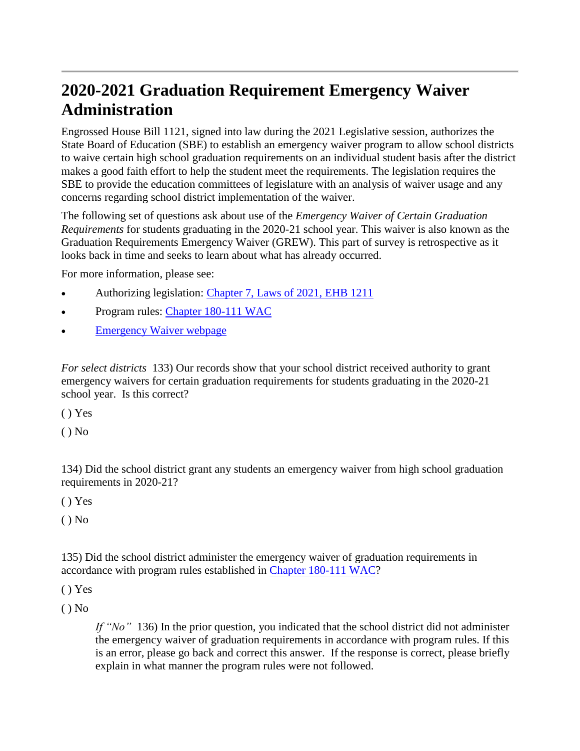# **2020-2021 Graduation Requirement Emergency Waiver Administration**

Engrossed House Bill 1121, signed into law during the 2021 Legislative session, authorizes the State Board of Education (SBE) to establish an emergency waiver program to allow school districts to waive certain high school graduation requirements on an individual student basis after the district makes a good faith effort to help the student meet the requirements. The legislation requires the SBE to provide the education committees of legislature with an analysis of waiver usage and any concerns regarding school district implementation of the waiver.

The following set of questions ask about use of the *Emergency Waiver of Certain Graduation Requirements* for students graduating in the 2020-21 school year. This waiver is also known as the Graduation Requirements Emergency Waiver (GREW). This part of survey is retrospective as it looks back in time and seeks to learn about what has already occurred.

For more information, please see:

- Authorizing legislation: [Chapter](http://lawfilesext.leg.wa.gov/biennium/2021-22/Pdf/Bills/Session%20Laws/House/1121.SL.pdf?q=20210628140557) 7, Laws of 2021, EHB 1211
- Program rules: Chapter [180-111](https://simbli.eboardsolutions.com/Meetings/Attachment.aspx?S=36030949&AID=11217&MID=607) WAC
- [Emergency](https://sbe.wa.gov/our-work/emergency-waiver-program) Waiver webpage

*For select districts* 133) Our records show that your school district received authority to grant emergency waivers for certain graduation requirements for students graduating in the 2020-21 school year. Is this correct?

( ) Yes

 $()$  No

134) Did the school district grant any students an emergency waiver from high school graduation requirements in 2020-21?

( ) Yes

 $()$  No

135) Did the school district administer the emergency waiver of graduation requirements in accordance with program rules established in Chapter [180-111](https://simbli.eboardsolutions.com/Meetings/Attachment.aspx?S=36030949&AID=11217&MID=607) WAC?

( ) Yes

 $()$  No

*If "No"* 136) In the prior question, you indicated that the school district did not administer the emergency waiver of graduation requirements in accordance with program rules. If this is an error, please go back and correct this answer. If the response is correct, please briefly explain in what manner the program rules were not followed.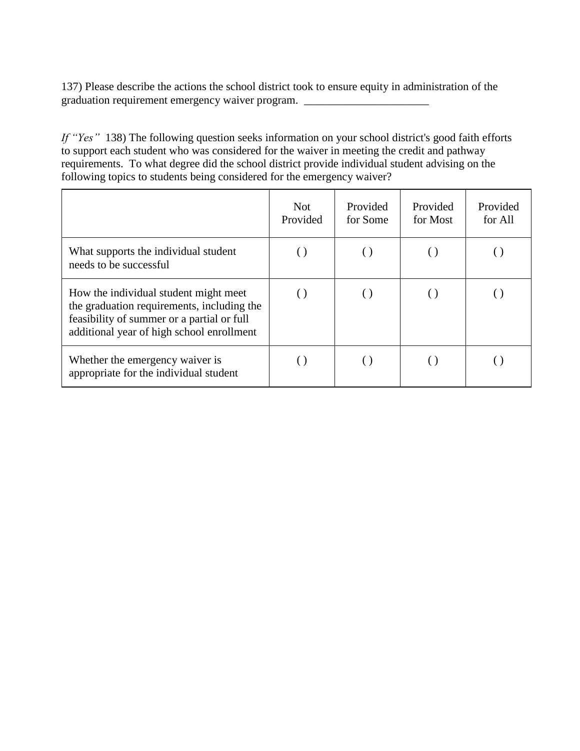137) Please describe the actions the school district took to ensure equity in administration of the graduation requirement emergency waiver program. \_\_\_\_\_\_\_\_\_\_\_\_\_\_\_\_\_\_\_\_\_\_\_\_\_\_\_\_\_\_\_

*If "Yes"* 138) The following question seeks information on your school district's good faith efforts to support each student who was considered for the waiver in meeting the credit and pathway requirements. To what degree did the school district provide individual student advising on the following topics to students being considered for the emergency waiver?

|                                                                                                                                                                                | <b>Not</b><br>Provided | Provided<br>for Some | Provided<br>for Most | Provided<br>for All |
|--------------------------------------------------------------------------------------------------------------------------------------------------------------------------------|------------------------|----------------------|----------------------|---------------------|
| What supports the individual student<br>needs to be successful                                                                                                                 |                        | $\left( \ \right)$   |                      |                     |
| How the individual student might meet<br>the graduation requirements, including the<br>feasibility of summer or a partial or full<br>additional year of high school enrollment |                        | $\left( \ \right)$   |                      |                     |
| Whether the emergency waiver is<br>appropriate for the individual student                                                                                                      |                        |                      |                      |                     |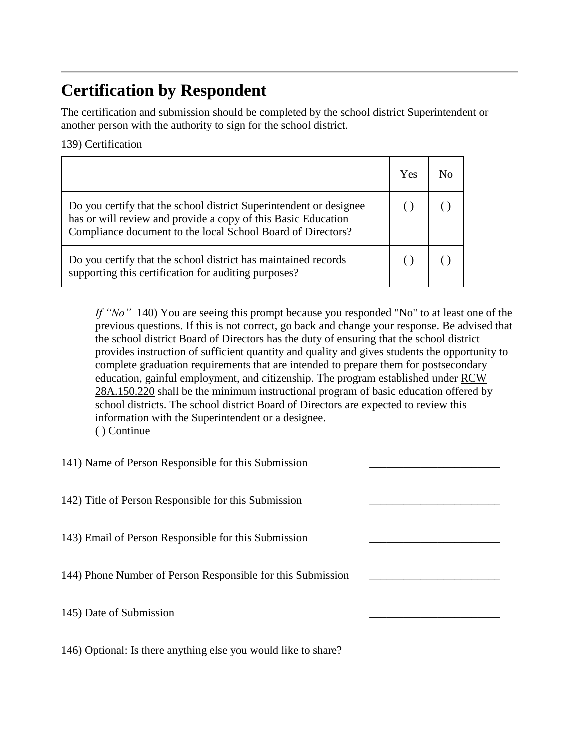# **Certification by Respondent**

The certification and submission should be completed by the school district Superintendent or another person with the authority to sign for the school district.

139) Certification

|                                                                                                                                                                                                    | Yes |  |
|----------------------------------------------------------------------------------------------------------------------------------------------------------------------------------------------------|-----|--|
| Do you certify that the school district Superintendent or designee<br>has or will review and provide a copy of this Basic Education<br>Compliance document to the local School Board of Directors? |     |  |
| Do you certify that the school district has maintained records<br>supporting this certification for auditing purposes?                                                                             |     |  |

*If "No"* 140) You are seeing this prompt because you responded "No" to at least one of the previous questions. If this is not correct, go back and change your response. Be advised that the school district Board of Directors has the duty of ensuring that the school district provides instruction of sufficient quantity and quality and gives students the opportunity to complete graduation requirements that are intended to prepare them for postsecondary education, gainful employment, and citizenship. The program established under [RCW](https://apps.leg.wa.gov/RCW/default.aspx?cite=28A.150.220) [28A.150.220](https://apps.leg.wa.gov/RCW/default.aspx?cite=28A.150.220) shall be the minimum instructional program of basic education offered by school districts. The school district Board of Directors are expected to review this information with the Superintendent or a designee. ( ) Continue

141) Name of Person Responsible for this Submission \_\_\_\_\_\_\_\_\_\_\_\_\_\_\_\_\_\_\_\_\_\_\_

142) Title of Person Responsible for this Submission \_\_\_\_\_\_\_\_\_\_\_\_\_\_\_\_\_\_\_\_\_\_\_

143) Email of Person Responsible for this Submission \_\_\_\_\_\_\_\_\_\_\_\_\_\_\_\_\_\_\_\_\_\_\_

144) Phone Number of Person Responsible for this Submission \_\_\_\_\_\_\_\_\_\_\_\_\_\_\_\_\_\_\_\_\_\_\_

145) Date of Submission \_\_\_\_\_\_\_\_\_\_\_\_\_\_\_\_\_\_\_\_\_\_\_

146) Optional: Is there anything else you would like to share?